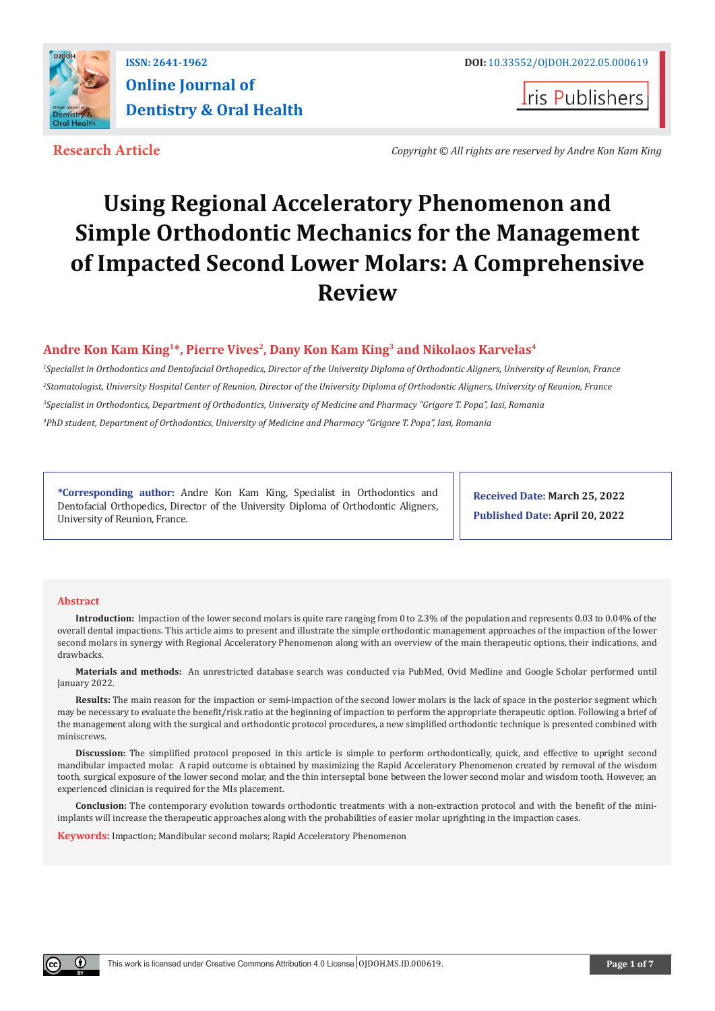

**Iris Publishers** 

**Research Article** *Copyright © All rights are reserved by Andre Kon Kam King*

# **Using Regional Acceleratory Phenomenon and Simple Orthodontic Mechanics for the Management of Impacted Second Lower Molars: A Comprehensive Review**

## **Andre Kon Kam King1\*, Pierre Vives2, Dany Kon Kam King3 and Nikolaos Karvelas4**

 *Specialist in Orthodontics and Dentofacial Orthopedics, Director of the University Diploma of Orthodontic Aligners, University of Reunion, France Stomatologist, University Hospital Center of Reunion, Director of the University Diploma of Orthodontic Aligners, University of Reunion, France Specialist in Orthodontics, Department of Orthodontics, University of Medicine and Pharmacy "Grigore T. Popa", Iasi, Romania PhD student, Department of Orthodontics, University of Medicine and Pharmacy "Grigore T. Popa", Iasi, Romania*

**\*Corresponding author:** Andre Kon Kam King, Specialist in Orthodontics and Dentofacial Orthopedics, Director of the University Diploma of Orthodontic Aligners, University of Reunion, France.

**Received Date: March 25, 2022 Published Date: April 20, 2022**

#### **Abstract**

**Introduction:** Impaction of the lower second molars is quite rare ranging from 0 to 2.3% of the population and represents 0.03 to 0.04% of the overall dental impactions. This article aims to present and illustrate the simple orthodontic management approaches of the impaction of the lower second molars in synergy with Regional Acceleratory Phenomenon along with an overview of the main therapeutic options, their indications, and drawbacks.

**Materials and methods:** An unrestricted database search was conducted via PubMed, Ovid Medline and Google Scholar performed until January 2022.

**Results:** The main reason for the impaction or semi-impaction of the second lower molars is the lack of space in the posterior segment which may be necessary to evaluate the benefit/risk ratio at the beginning of impaction to perform the appropriate therapeutic option. Following a brief of the management along with the surgical and orthodontic protocol procedures, a new simplified orthodontic technique is presented combined with miniscrews.

**Discussion:** The simplified protocol proposed in this article is simple to perform orthodontically, quick, and effective to upright second mandibular impacted molar. A rapid outcome is obtained by maximizing the Rapid Acceleratory Phenomenon created by removal of the wisdom tooth, surgical exposure of the lower second molar, and the thin interseptal bone between the lower second molar and wisdom tooth. However, an experienced clinician is required for the MIs placement.

**Conclusion:** The contemporary evolution towards orthodontic treatments with a non-extraction protocol and with the benefit of the miniimplants will increase the therapeutic approaches along with the probabilities of easier molar uprighting in the impaction cases.

**Keywords:** Impaction; Mandibular second molars; Rapid Acceleratory Phenomenon

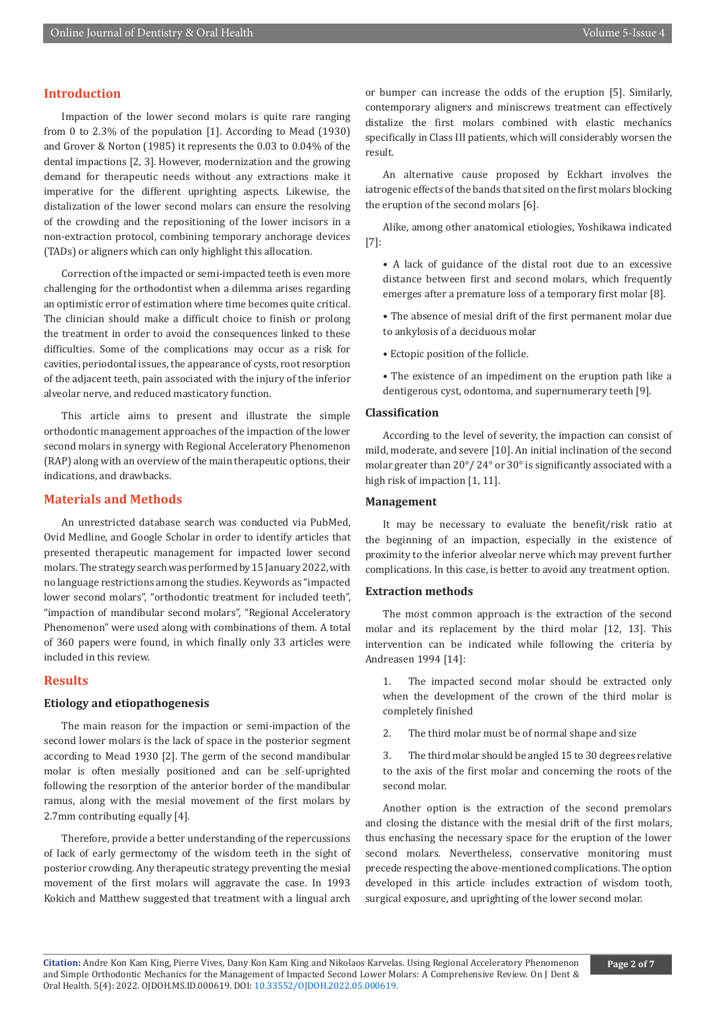#### **Introduction**

Impaction of the lower second molars is quite rare ranging from 0 to 2.3% of the population [1]. According to Mead (1930) and Grover & Norton (1985) it represents the 0.03 to 0.04% of the dental impactions [2, 3]. However, modernization and the growing demand for therapeutic needs without any extractions make it imperative for the different uprighting aspects. Likewise, the distalization of the lower second molars can ensure the resolving of the crowding and the repositioning of the lower incisors in a non-extraction protocol, combining temporary anchorage devices (TADs) or aligners which can only highlight this allocation.

Correction of the impacted or semi-impacted teeth is even more challenging for the orthodontist when a dilemma arises regarding an optimistic error of estimation where time becomes quite critical. The clinician should make a difficult choice to finish or prolong the treatment in order to avoid the consequences linked to these difficulties. Some of the complications may occur as a risk for cavities, periodontal issues, the appearance of cysts, root resorption of the adjacent teeth, pain associated with the injury of the inferior alveolar nerve, and reduced masticatory function.

This article aims to present and illustrate the simple orthodontic management approaches of the impaction of the lower second molars in synergy with Regional Acceleratory Phenomenon (RAP) along with an overview of the main therapeutic options, their indications, and drawbacks.

## **Materials and Methods**

An unrestricted database search was conducted via PubMed, Ovid Medline, and Google Scholar in order to identify articles that presented therapeutic management for impacted lower second molars. The strategy search was performed by 15 January 2022, with no language restrictions among the studies. Keywords as "impacted lower second molars", "orthodontic treatment for included teeth", "impaction of mandibular second molars", "Regional Acceleratory Phenomenon" were used along with combinations of them. A total of 360 papers were found, in which finally only 33 articles were included in this review.

## **Results**

#### **Etiology and etiopathogenesis**

The main reason for the impaction or semi-impaction of the second lower molars is the lack of space in the posterior segment according to Mead 1930 [2]. The germ of the second mandibular molar is often mesially positioned and can be self-uprighted following the resorption of the anterior border of the mandibular ramus, along with the mesial movement of the first molars by 2.7mm contributing equally [4].

Therefore, provide a better understanding of the repercussions of lack of early germectomy of the wisdom teeth in the sight of posterior crowding. Any therapeutic strategy preventing the mesial movement of the first molars will aggravate the case. In 1993 Kokich and Matthew suggested that treatment with a lingual arch

or bumper can increase the odds of the eruption [5]. Similarly, contemporary aligners and miniscrews treatment can effectively distalize the first molars combined with elastic mechanics specifically in Class III patients, which will considerably worsen the result.

An alternative cause proposed by Eckhart involves the iatrogenic effects of the bands that sited on the first molars blocking the eruption of the second molars [6].

Alike, among other anatomical etiologies, Yoshikawa indicated [7]:

- A lack of guidance of the distal root due to an excessive distance between first and second molars, which frequently emerges after a premature loss of a temporary first molar [8].
- The absence of mesial drift of the first permanent molar due to ankylosis of a deciduous molar
- Ectopic position of the follicle.
- The existence of an impediment on the eruption path like a dentigerous cyst, odontoma, and supernumerary teeth [9].

## **Classification**

According to the level of severity, the impaction can consist of mild, moderate, and severe [10]. An initial inclination of the second molar greater than 20°/ 24° or 30° is significantly associated with a high risk of impaction [1, 11].

#### **Management**

It may be necessary to evaluate the benefit/risk ratio at the beginning of an impaction, especially in the existence of proximity to the inferior alveolar nerve which may prevent further complications. In this case, is better to avoid any treatment option.

#### **Extraction methods**

The most common approach is the extraction of the second molar and its replacement by the third molar [12, 13]. This intervention can be indicated while following the criteria by Andreasen 1994 [14]:

1. The impacted second molar should be extracted only when the development of the crown of the third molar is completely finished

2. The third molar must be of normal shape and size

3. The third molar should be angled 15 to 30 degrees relative to the axis of the first molar and concerning the roots of the second molar.

Another option is the extraction of the second premolars and closing the distance with the mesial drift of the first molars, thus enchasing the necessary space for the eruption of the lower second molars. Nevertheless, conservative monitoring must precede respecting the above-mentioned complications. The option developed in this article includes extraction of wisdom tooth, surgical exposure, and uprighting of the lower second molar.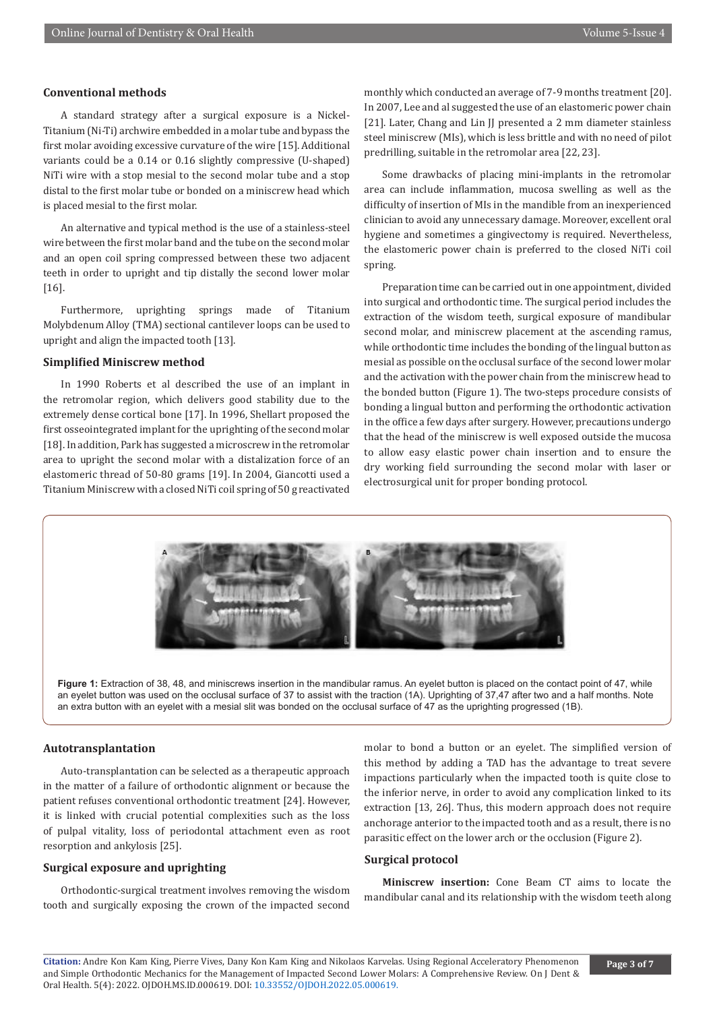#### **Conventional methods**

A standard strategy after a surgical exposure is a Nickel-Titanium (Ni-Ti) archwire embedded in a molar tube and bypass the first molar avoiding excessive curvature of the wire [15]. Additional variants could be a 0.14 or 0.16 slightly compressive (U-shaped) NiTi wire with a stop mesial to the second molar tube and a stop distal to the first molar tube or bonded on a miniscrew head which is placed mesial to the first molar.

An alternative and typical method is the use of a stainless-steel wire between the first molar band and the tube on the second molar and an open coil spring compressed between these two adjacent teeth in order to upright and tip distally the second lower molar [16].

Furthermore, uprighting springs made of Titanium Molybdenum Alloy (TMA) sectional cantilever loops can be used to upright and align the impacted tooth [13].

## **Simplified Miniscrew method**

In 1990 Roberts et al described the use of an implant in the retromolar region, which delivers good stability due to the extremely dense cortical bone [17]. In 1996, Shellart proposed the first osseointegrated implant for the uprighting of the second molar [18]. In addition, Park has suggested a microscrew in the retromolar area to upright the second molar with a distalization force of an elastomeric thread of 50-80 grams [19]. In 2004, Giancotti used a Titanium Miniscrew with a closed NiTi coil spring of 50 g reactivated

monthly which conducted an average of 7-9 months treatment [20]. In 2007, Lee and al suggested the use of an elastomeric power chain [21]. Later, Chang and Lin JJ presented a 2 mm diameter stainless steel miniscrew (MIs), which is less brittle and with no need of pilot predrilling, suitable in the retromolar area [22, 23].

Some drawbacks of placing mini-implants in the retromolar area can include inflammation, mucosa swelling as well as the difficulty of insertion of MIs in the mandible from an inexperienced clinician to avoid any unnecessary damage. Moreover, excellent oral hygiene and sometimes a gingivectomy is required. Nevertheless, the elastomeric power chain is preferred to the closed NiTi coil spring.

Preparation time can be carried out in one appointment, divided into surgical and orthodontic time. The surgical period includes the extraction of the wisdom teeth, surgical exposure of mandibular second molar, and miniscrew placement at the ascending ramus, while orthodontic time includes the bonding of the lingual button as mesial as possible on the occlusal surface of the second lower molar and the activation with the power chain from the miniscrew head to the bonded button (Figure 1). The two-steps procedure consists of bonding a lingual button and performing the orthodontic activation in the office a few days after surgery. However, precautions undergo that the head of the miniscrew is well exposed outside the mucosa to allow easy elastic power chain insertion and to ensure the dry working field surrounding the second molar with laser or electrosurgical unit for proper bonding protocol.



**Figure 1:** Extraction of 38, 48, and miniscrews insertion in the mandibular ramus. An eyelet button is placed on the contact point of 47, while an eyelet button was used on the occlusal surface of 37 to assist with the traction (1A). Uprighting of 37,47 after two and a half months. Note an extra button with an eyelet with a mesial slit was bonded on the occlusal surface of 47 as the uprighting progressed (1B).

#### **Autotransplantation**

Auto-transplantation can be selected as a therapeutic approach in the matter of a failure of orthodontic alignment or because the patient refuses conventional orthodontic treatment [24]. However, it is linked with crucial potential complexities such as the loss of pulpal vitality, loss of periodontal attachment even as root resorption and ankylosis [25].

#### **Surgical exposure and uprighting**

Orthodontic-surgical treatment involves removing the wisdom tooth and surgically exposing the crown of the impacted second

molar to bond a button or an eyelet. The simplified version of this method by adding a TAD has the advantage to treat severe impactions particularly when the impacted tooth is quite close to the inferior nerve, in order to avoid any complication linked to its extraction [13, 26]. Thus, this modern approach does not require anchorage anterior to the impacted tooth and as a result, there is no parasitic effect on the lower arch or the occlusion (Figure 2).

#### **Surgical protocol**

**Miniscrew insertion:** Cone Beam CT aims to locate the mandibular canal and its relationship with the wisdom teeth along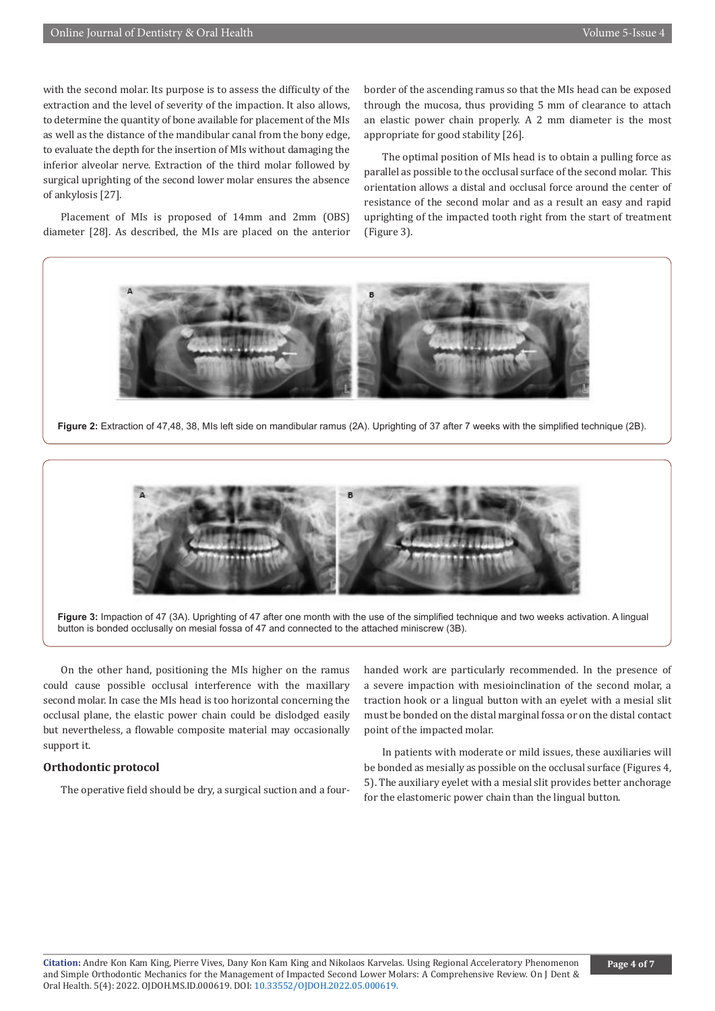with the second molar. Its purpose is to assess the difficulty of the extraction and the level of severity of the impaction. It also allows, to determine the quantity of bone available for placement of the MIs as well as the distance of the mandibular canal from the bony edge, to evaluate the depth for the insertion of MIs without damaging the inferior alveolar nerve. Extraction of the third molar followed by surgical uprighting of the second lower molar ensures the absence of ankylosis [27].

Placement of MIs is proposed of 14mm and 2mm (OBS) diameter [28]. As described, the MIs are placed on the anterior border of the ascending ramus so that the MIs head can be exposed through the mucosa, thus providing 5 mm of clearance to attach an elastic power chain properly. A 2 mm diameter is the most appropriate for good stability [26].

The optimal position of MIs head is to obtain a pulling force as parallel as possible to the occlusal surface of the second molar. This orientation allows a distal and occlusal force around the center of resistance of the second molar and as a result an easy and rapid uprighting of the impacted tooth right from the start of treatment (Figure 3).



**Figure 2:** Extraction of 47,48, 38, MIs left side on mandibular ramus (2A). Uprighting of 37 after 7 weeks with the simplified technique (2B).



**Figure 3:** Impaction of 47 (3A). Uprighting of 47 after one month with the use of the simplified technique and two weeks activation. A lingual button is bonded occlusally on mesial fossa of 47 and connected to the attached miniscrew (3B).

On the other hand, positioning the MIs higher on the ramus could cause possible occlusal interference with the maxillary second molar. In case the MIs head is too horizontal concerning the occlusal plane, the elastic power chain could be dislodged easily but nevertheless, a flowable composite material may occasionally support it.

#### **Orthodontic protocol**

The operative field should be dry, a surgical suction and a four-

handed work are particularly recommended. In the presence of a severe impaction with mesioinclination of the second molar, a traction hook or a lingual button with an eyelet with a mesial slit must be bonded on the distal marginal fossa or on the distal contact point of the impacted molar.

In patients with moderate or mild issues, these auxiliaries will be bonded as mesially as possible on the occlusal surface (Figures 4, 5). The auxiliary eyelet with a mesial slit provides better anchorage for the elastomeric power chain than the lingual button.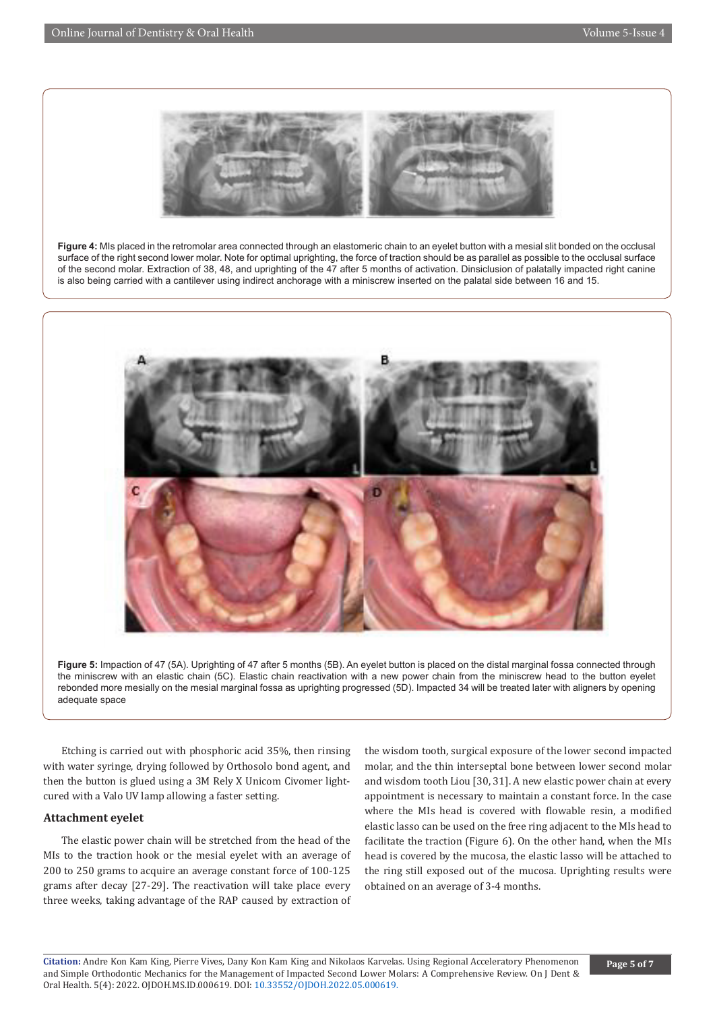

**Figure 4:** MIs placed in the retromolar area connected through an elastomeric chain to an eyelet button with a mesial slit bonded on the occlusal surface of the right second lower molar. Note for optimal uprighting, the force of traction should be as parallel as possible to the occlusal surface of the second molar. Extraction of 38, 48, and uprighting of the 47 after 5 months of activation. Dinsiclusion of palatally impacted right canine is also being carried with a cantilever using indirect anchorage with a miniscrew inserted on the palatal side between 16 and 15.



**Figure 5:** Impaction of 47 (5A). Uprighting of 47 after 5 months (5B). An eyelet button is placed on the distal marginal fossa connected through the miniscrew with an elastic chain (5C). Elastic chain reactivation with a new power chain from the miniscrew head to the button eyelet rebonded more mesially on the mesial marginal fossa as uprighting progressed (5D). Impacted 34 will be treated later with aligners by opening adequate space

Etching is carried out with phosphoric acid 35%, then rinsing with water syringe, drying followed by Orthosolo bond agent, and then the button is glued using a 3M Rely X Unicom Civomer lightcured with a Valo UV lamp allowing a faster setting.

#### **Attachment eyelet**

The elastic power chain will be stretched from the head of the MIs to the traction hook or the mesial eyelet with an average of 200 to 250 grams to acquire an average constant force of 100-125 grams after decay [27-29]. The reactivation will take place every three weeks, taking advantage of the RAP caused by extraction of

the wisdom tooth, surgical exposure of the lower second impacted molar, and the thin interseptal bone between lower second molar and wisdom tooth Liou [30, 31]. A new elastic power chain at every appointment is necessary to maintain a constant force. In the case where the MIs head is covered with flowable resin, a modified elastic lasso can be used on the free ring adjacent to the MIs head to facilitate the traction (Figure 6). On the other hand, when the MIs head is covered by the mucosa, the elastic lasso will be attached to the ring still exposed out of the mucosa. Uprighting results were obtained on an average of 3-4 months.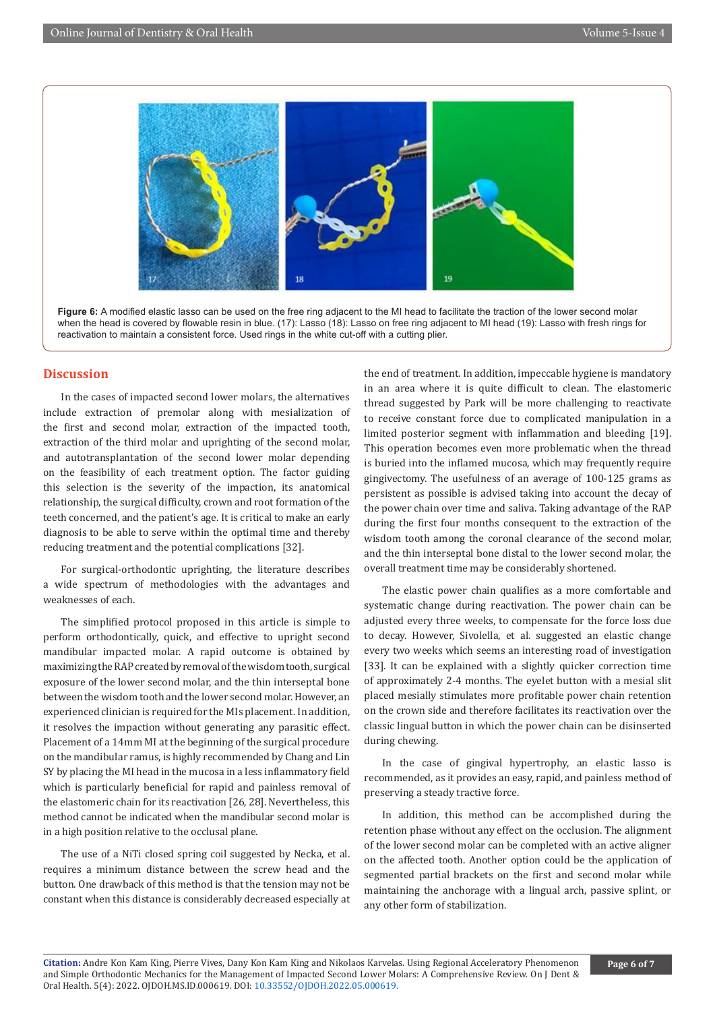

Figure 6: A modified elastic lasso can be used on the free ring adjacent to the MI head to facilitate the traction of the lower second molar when the head is covered by flowable resin in blue. (17): Lasso (18): Lasso on free ring adjacent to MI head (19): Lasso with fresh rings for reactivation to maintain a consistent force. Used rings in the white cut-off with a cutting plier.

### **Discussion**

In the cases of impacted second lower molars, the alternatives include extraction of premolar along with mesialization of the first and second molar, extraction of the impacted tooth, extraction of the third molar and uprighting of the second molar, and autotransplantation of the second lower molar depending on the feasibility of each treatment option. The factor guiding this selection is the severity of the impaction, its anatomical relationship, the surgical difficulty, crown and root formation of the teeth concerned, and the patient's age. It is critical to make an early diagnosis to be able to serve within the optimal time and thereby reducing treatment and the potential complications [32].

For surgical-orthodontic uprighting, the literature describes a wide spectrum of methodologies with the advantages and weaknesses of each.

The simplified protocol proposed in this article is simple to perform orthodontically, quick, and effective to upright second mandibular impacted molar. A rapid outcome is obtained by maximizing the RAP created by removal of the wisdom tooth, surgical exposure of the lower second molar, and the thin interseptal bone between the wisdom tooth and the lower second molar. However, an experienced clinician is required for the MIs placement. In addition, it resolves the impaction without generating any parasitic effect. Placement of a 14mm MI at the beginning of the surgical procedure on the mandibular ramus, is highly recommended by Chang and Lin SY by placing the MI head in the mucosa in a less inflammatory field which is particularly beneficial for rapid and painless removal of the elastomeric chain for its reactivation [26, 28]. Nevertheless, this method cannot be indicated when the mandibular second molar is in a high position relative to the occlusal plane.

The use of a NiTi closed spring coil suggested by Necka, et al. requires a minimum distance between the screw head and the button. One drawback of this method is that the tension may not be constant when this distance is considerably decreased especially at the end of treatment. In addition, impeccable hygiene is mandatory in an area where it is quite difficult to clean. The elastomeric thread suggested by Park will be more challenging to reactivate to receive constant force due to complicated manipulation in a limited posterior segment with inflammation and bleeding [19]. This operation becomes even more problematic when the thread is buried into the inflamed mucosa, which may frequently require gingivectomy. The usefulness of an average of 100-125 grams as persistent as possible is advised taking into account the decay of the power chain over time and saliva. Taking advantage of the RAP during the first four months consequent to the extraction of the wisdom tooth among the coronal clearance of the second molar, and the thin interseptal bone distal to the lower second molar, the overall treatment time may be considerably shortened.

The elastic power chain qualifies as a more comfortable and systematic change during reactivation. The power chain can be adjusted every three weeks, to compensate for the force loss due to decay. However, Sivolella, et al. suggested an elastic change every two weeks which seems an interesting road of investigation [33]. It can be explained with a slightly quicker correction time of approximately 2-4 months. The eyelet button with a mesial slit placed mesially stimulates more profitable power chain retention on the crown side and therefore facilitates its reactivation over the classic lingual button in which the power chain can be disinserted during chewing.

In the case of gingival hypertrophy, an elastic lasso is recommended, as it provides an easy, rapid, and painless method of preserving a steady tractive force.

In addition, this method can be accomplished during the retention phase without any effect on the occlusion. The alignment of the lower second molar can be completed with an active aligner on the affected tooth. Another option could be the application of segmented partial brackets on the first and second molar while maintaining the anchorage with a lingual arch, passive splint, or any other form of stabilization.